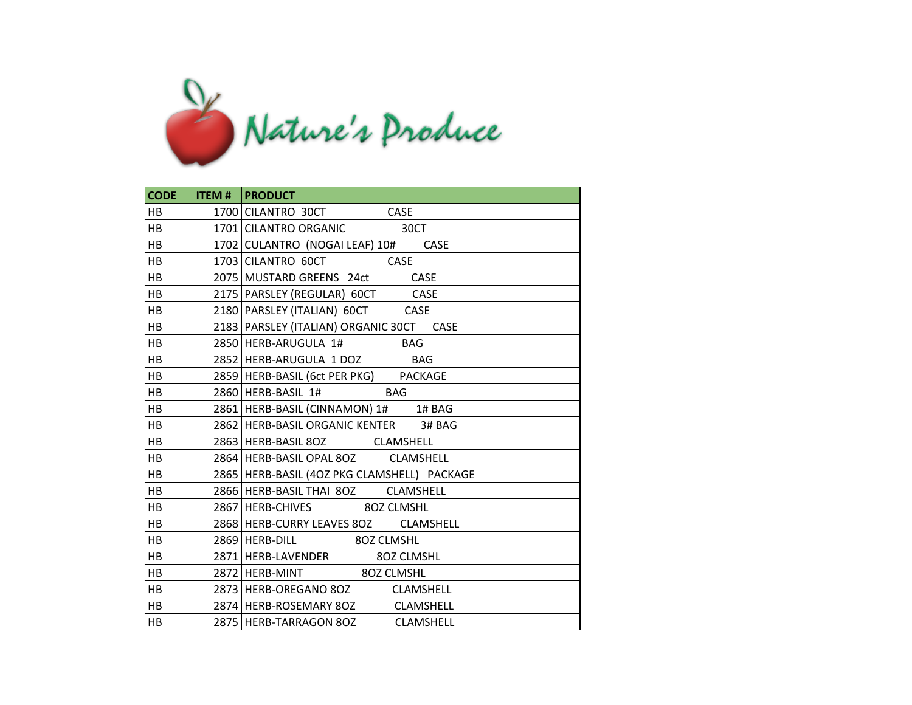

| <b>CODE</b> | <b>ITEM # PRODUCT</b>                       |
|-------------|---------------------------------------------|
| <b>HB</b>   | 1700 CILANTRO 30CT CASE                     |
| HB          | 1701 CILANTRO ORGANIC 30CT                  |
| HB          | 1702 CULANTRO (NOGAI LEAF) 10# CASE         |
| HB          | 1703 CILANTRO 60CT CASE                     |
| HB          | 2075 MUSTARD GREENS 24ct CASE               |
| HB          | 2175 PARSLEY (REGULAR) 60CT CASE            |
| HB          | 2180 PARSLEY (ITALIAN) 60CT CASE            |
| HB          | 2183 PARSLEY (ITALIAN) ORGANIC 30CT CASE    |
| HB          | 2850 HERB-ARUGULA 1# BAG                    |
| HB          | 2852 HERB-ARUGULA 1 DOZ BAG                 |
| <b>HB</b>   | 2859   HERB-BASIL (6ct PER PKG) PACKAGE     |
| <b>HB</b>   | 2860 HERB-BASIL 1# BAG                      |
| HB          | 2861 HERB-BASIL (CINNAMON) 1# 1# BAG        |
| <b>HB</b>   | 2862 HERB-BASIL ORGANIC KENTER 3# BAG       |
| HB          | 2863 HERB-BASIL 8OZ CLAMSHELL               |
| HB          | 2864 HERB-BASIL OPAL 8OZ CLAMSHELL          |
| <b>HB</b>   | 2865 HERB-BASIL (40Z PKG CLAMSHELL) PACKAGE |
| HB          | 2866 HERB-BASIL THAI 80Z CLAMSHELL          |
| HB          | 2867 HERB-CHIVES 80Z CLMSHL                 |
| HB          | 2868 HERB-CURRY LEAVES 80Z CLAMSHELL        |
| <b>HB</b>   | 2869 HERB-DILL 80Z CLMSHL                   |
| HB          | 2871 HERB-LAVENDER 80Z CLMSHL               |
| HB.         | 2872 HERB-MINT 80Z CLMSHL                   |
| <b>HB</b>   | 2873 HERB-OREGANO 80Z CLAMSHELL             |
| HB          | 2874 HERB-ROSEMARY 80Z CLAMSHELL            |
| HB          | 2875 HERB-TARRAGON 80Z CLAMSHELL            |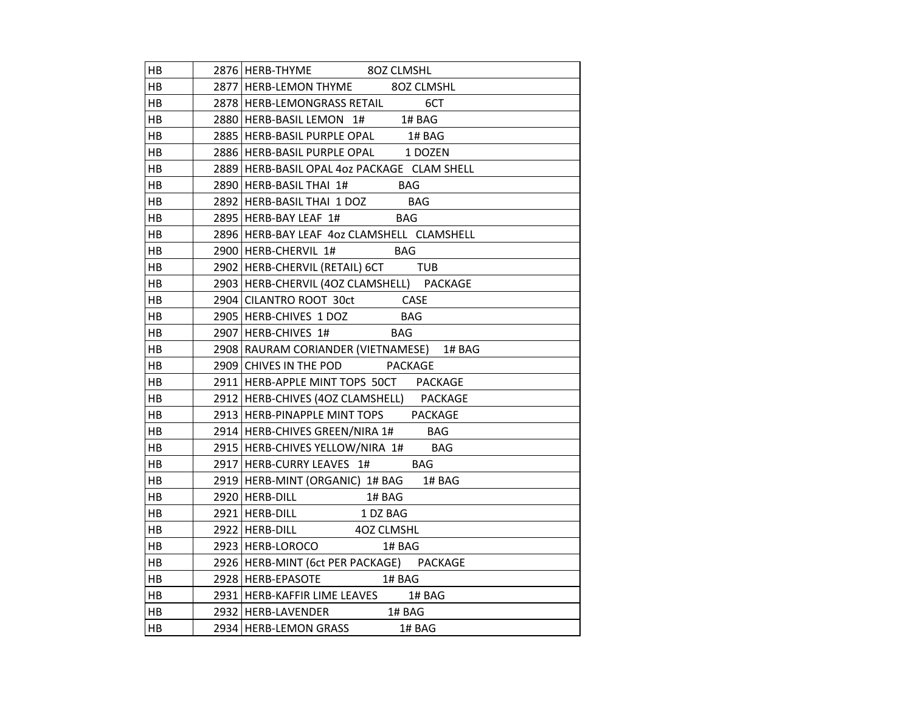| HB  | 2876 HERB-THYME 80Z CLMSHL                                                |
|-----|---------------------------------------------------------------------------|
| HB. | 2877   HERB-LEMON THYME 80Z CLMSHL                                        |
| HB  | 2878 HERB-LEMONGRASS RETAIL 6CT                                           |
| HB  | 2880 HERB-BASIL LEMON 1# 1# BAG                                           |
| HB  |                                                                           |
| HB  | 2885 HERB-BASIL PURPLE OPAL 1# BAG<br>2886 HERB-BASIL PURPLE OPAL 1 DOZEN |
| HB  | 2889 HERB-BASIL OPAL 402 PACKAGE CLAM SHELL                               |
| HB  | 2890 HERB-BASIL THAI 1# BAG                                               |
| HB  | 2892 HERB-BASIL THAI 1 DOZ BAG                                            |
| HB  | 2895 HERB-BAY LEAF 1# BAG                                                 |
| HB  | 2896 HERB-BAY LEAF 40z CLAMSHELL CLAMSHELL                                |
| HB  | 2900 HERB-CHERVIL 1# BAG                                                  |
| HB. | 2902 HERB-CHERVIL (RETAIL) 6CT TUB                                        |
| HB  | 2903 HERB-CHERVIL (4OZ CLAMSHELL) PACKAGE                                 |
| НB  | 2904 CILANTRO ROOT 30ct CASE                                              |
| HB  | 2905 HERB-CHIVES 1 DOZ BAG                                                |
| HВ  | 2907 HERB-CHIVES 1# BAG                                                   |
| HB  | 2908 RAURAM CORIANDER (VIETNAMESE) 1# BAG                                 |
| HB  | 2909 CHIVES IN THE POD PACKAGE                                            |
| HB  | 2911 HERB-APPLE MINT TOPS 50CT PACKAGE                                    |
| HB  | 2912 HERB-CHIVES (40Z CLAMSHELL) PACKAGE                                  |
| HB  | 2913 HERB-PINAPPLE MINT TOPS PACKAGE                                      |
| HB  | 2914 HERB-CHIVES GREEN/NIRA 1# BAG                                        |
| HB  | 2915   HERB-CHIVES YELLOW/NIRA 1# BAG                                     |
| HB  | 2917 HERB-CURRY LEAVES 1# BAG                                             |
| HB  | 2919 HERB-MINT (ORGANIC) 1# BAG 1# BAG                                    |
| HB  | 2920 HERB-DILL 1# BAG                                                     |
| HB. | 2921 HERB-DILL 1DZ BAG                                                    |
| HB  | 2922 HERB-DILL 40Z CLMSHL                                                 |
| HB  | 2923 HERB-LOROCO<br>1# BAG                                                |
| HB  | 2926   HERB-MINT (6ct PER PACKAGE) PACKAGE                                |
| HВ  | 2928 HERB-EPASOTE 1# BAG                                                  |
| HB  | 2931 HERB-KAFFIR LIME LEAVES 1# BAG                                       |
| HB  | 2932 HERB-LAVENDER 1# BAG                                                 |
| HB  | 2934 HERB-LEMON GRASS<br>1# BAG                                           |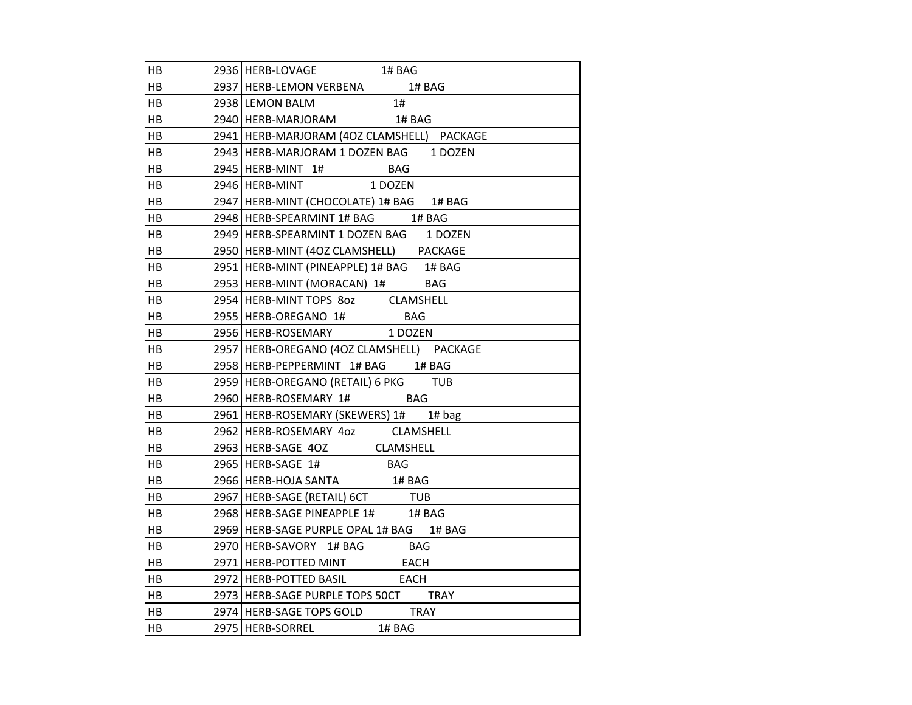| HB.       | 2936 HERB-LOVAGE 1# BAG                      |
|-----------|----------------------------------------------|
| HВ        | 2937   HERB-LEMON VERBENA<br>1# BAG          |
| HB        | 2938 LEMON BALM 1#                           |
| HB.       | 2940 HERB-MARJORAM 1# BAG                    |
| HB        | 2941   HERB-MARJORAM (4OZ CLAMSHELL) PACKAGE |
| HB        | 2943 HERB-MARJORAM 1 DOZEN BAG 1 DOZEN       |
| HB        | 2945 HERB-MINT 1# BAG                        |
| HB        | 2946 HERB-MINT 1 DOZEN                       |
| HВ        | 2947   HERB-MINT (CHOCOLATE) 1# BAG 1# BAG   |
| <b>HB</b> | 2948 HERB-SPEARMINT 1# BAG 1# BAG            |
| HВ        | 2949 HERB-SPEARMINT 1 DOZEN BAG 1 DOZEN      |
| HB        | 2950 HERB-MINT (40Z CLAMSHELL) PACKAGE       |
| HB.       | 2951   HERB-MINT (PINEAPPLE) 1# BAG 1# BAG   |
| HB        | 2953 HERB-MINT (MORACAN) 1# BAG              |
| HB        | 2954 HERB-MINT TOPS 80Z CLAMSHELL            |
| HB        | 2955 HERB-OREGANO 1# BAG                     |
| HB        | 2956 HERB-ROSEMARY 1 DOZEN                   |
| <b>HB</b> | 2957   HERB-OREGANO (40Z CLAMSHELL) PACKAGE  |
| HВ        | 2958 HERB-PEPPERMINT 1# BAG 1# BAG           |
| HB.       | 2959 HERB-OREGANO (RETAIL) 6 PKG TUB         |
| HB        | 2960 HERB-ROSEMARY 1# BAG                    |
| HB        | 2961   HERB-ROSEMARY (SKEWERS) 1# 1# bag     |
| HB        | 2962 HERB-ROSEMARY 40z CLAMSHELL             |
| HВ        | 2963 HERB-SAGE 4OZ CLAMSHELL                 |
| <b>HB</b> | 2965 HERB-SAGE 1# BAG                        |
| HB        | 2966 HERB-HOJA SANTA 1# BAG                  |
| HB        | 2967   HERB-SAGE (RETAIL) 6CT TUB            |
| HB        | 2968 HERB-SAGE PINEAPPLE 1# 1# BAG           |
| HB        | 2969 HERB-SAGE PURPLE OPAL 1# BAG 1# BAG     |
| HB        | 2970   HERB-SAVORY 1# BAG BAG                |
| НB        | 2971 HERB-POTTED MINT EACH                   |
| HB        | 2972 HERB-POTTED BASIL EACH                  |
| HB.       | 2973   HERB-SAGE PURPLE TOPS 50CT TRAY       |
| HB        | 2974 HERB-SAGE TOPS GOLD TRAY                |
| HB        | 2975   HERB-SORREL 1# BAG                    |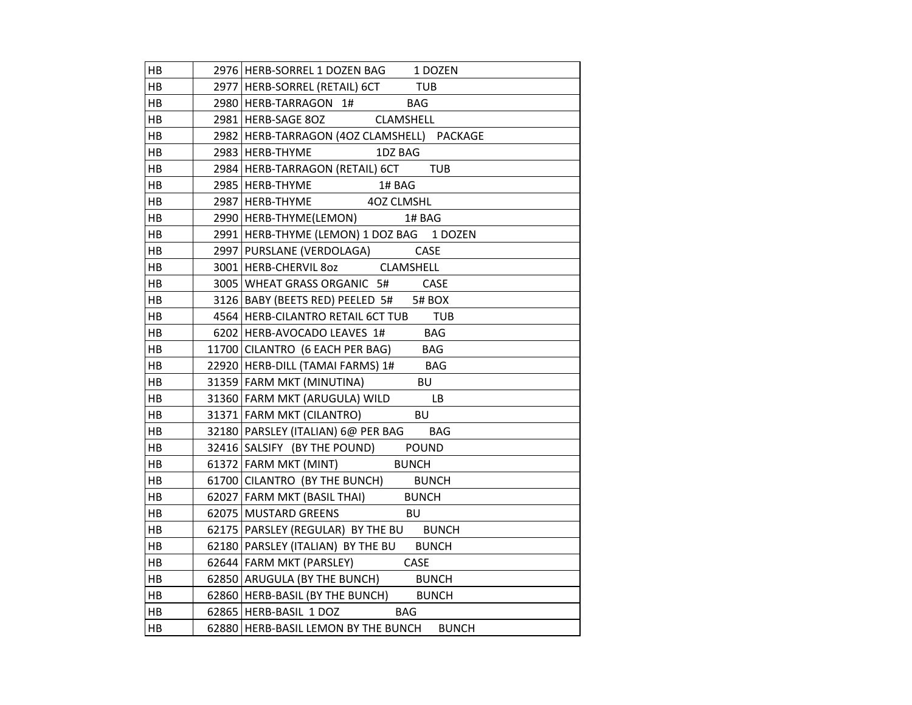| HB        | 2976 HERB-SORREL 1 DOZEN BAG 1 DOZEN       |
|-----------|--------------------------------------------|
| HB        | 2977   HERB-SORREL (RETAIL) 6CT TUB        |
| HB        | 2980 HERB-TARRAGON 1# BAG                  |
| <b>HB</b> | 2981 HERB-SAGE 80Z CLAMSHELL               |
| HB        | 2982 HERB-TARRAGON (40Z CLAMSHELL) PACKAGE |
| HB        | 2983   HERB-THYME 1DZ BAG                  |
| HB        | 2984 HERB-TARRAGON (RETAIL) 6CT TUB        |
| HB        | 2985 HERB-THYME 1# BAG                     |
| HB        | 2987   HERB-THYME 40Z CLMSHL               |
| HB        | 2990   HERB-THYME (LEMON) 1# BAG           |
| <b>HB</b> | 2991 HERB-THYME (LEMON) 1 DOZ BAG 1 DOZEN  |
| HB        | 2997   PURSLANE (VERDOLAGA) CASE           |
| HB        | 3001   HERB-CHERVIL 80Z CLAMSHELL          |
| HB        | 3005 WHEAT GRASS ORGANIC 5# CASE           |
| HB        | 3126 BABY (BEETS RED) PEELED 5# 5# BOX     |
| HB        | 4564 HERB-CILANTRO RETAIL 6CT TUB TUB      |
| HB        | 6202 HERB-AVOCADO LEAVES 1# BAG            |
| HB        | 11700 CILANTRO (6 EACH PER BAG) BAG        |
| HB        | 22920 HERB-DILL (TAMAI FARMS) 1# BAG       |
| HB        | 31359 FARM MKT (MINUTINA) BU               |
| HB        | 31360 FARM MKT (ARUGULA) WILD LB           |
| <b>HB</b> | 31371 FARM MKT (CILANTRO) BU               |
| HB        | 32180   PARSLEY (ITALIAN) 6@ PER BAG BAG   |
| HB        | 32416 SALSIFY (BY THE POUND) POUND         |
| HB        | 61372 FARM MKT (MINT)<br><b>BUNCH</b>      |
| HB        | 61700 CILANTRO (BY THE BUNCH) BUNCH        |
| HB        | 62027 FARM MKT (BASIL THAI) BUNCH          |
| <b>HB</b> | 62075 MUSTARD GREENS BU                    |
| HB        | 62175 PARSLEY (REGULAR) BY THE BU BUNCH    |
| HB        | 62180 PARSLEY (ITALIAN) BY THE BU BUNCH    |
| HB        | 62644 FARM MKT (PARSLEY) CASE              |
| HB        | 62850 ARUGULA (BY THE BUNCH) BUNCH         |
| HB        | 62860 HERB-BASIL (BY THE BUNCH) BUNCH      |
| HB        | 62865 HERB-BASIL 1 DOZ BAG                 |
| HB        | 62880 HERB-BASIL LEMON BY THE BUNCH BUNCH  |